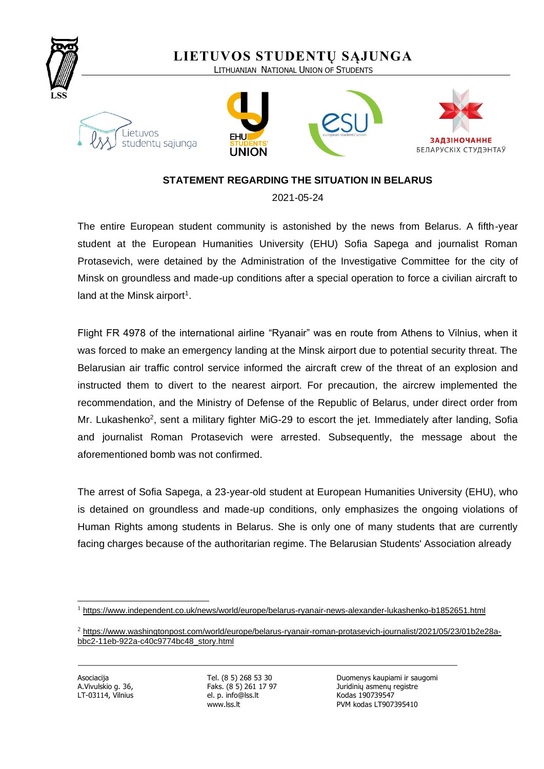

## **STATEMENT REGARDING THE SITUATION IN BELARUS**

2021-05-24

The entire European student community is astonished by the news from Belarus. A fifth-year student at the European Humanities University (EHU) Sofia Sapega and journalist Roman Protasevich, were detained by the Administration of the Investigative Committee for the city of Minsk on groundless and made-up conditions after a special operation to force a civilian aircraft to land at the Minsk airport<sup>1</sup>.

Flight FR 4978 of the international airline "Ryanair" was en route from Athens to Vilnius, when it was forced to make an emergency landing at the Minsk airport due to potential security threat. The Belarusian air traffic control service informed the aircraft crew of the threat of an explosion and instructed them to divert to the nearest airport. For precaution, the aircrew implemented the recommendation, and the Ministry of Defense of the Republic of Belarus, under direct order from Mr. Lukashenko<sup>2</sup>, sent a military fighter MiG-29 to escort the jet. Immediately after landing, Sofia and journalist Roman Protasevich were arrested. Subsequently, the message about the aforementioned bomb was not confirmed.

The arrest of Sofia Sapega, a 23-year-old student at European Humanities University (EHU), who is detained on groundless and made-up conditions, only emphasizes the ongoing violations of Human Rights among students in Belarus. She is only one of many students that are currently facing charges because of the authoritarian regime. The Belarusian Students' Association already

LT-03114, Vilnius el. p. info@lss.lt Kodas 190739547

Asociacija Tel. (8 5) 268 53 30 Duomenys kaupiami ir saugomi A. Vivulskio g. 36, Faks. (8 5) 261 17 97 Juridinių asmenų registre www.lss.lt PVM kodas LT907395410

<sup>1</sup> <https://www.independent.co.uk/news/world/europe/belarus-ryanair-news-alexander-lukashenko-b1852651.html>

<sup>2</sup> [https://www.washingtonpost.com/world/europe/belarus-ryanair-roman-protasevich-journalist/2021/05/23/01b2e28a](https://www.washingtonpost.com/world/europe/belarus-ryanair-roman-protasevich-journalist/2021/05/23/01b2e28a-bbc2-11eb-922a-c40c9774bc48_story.html)[bbc2-11eb-922a-c40c9774bc48\\_story.html](https://www.washingtonpost.com/world/europe/belarus-ryanair-roman-protasevich-journalist/2021/05/23/01b2e28a-bbc2-11eb-922a-c40c9774bc48_story.html)